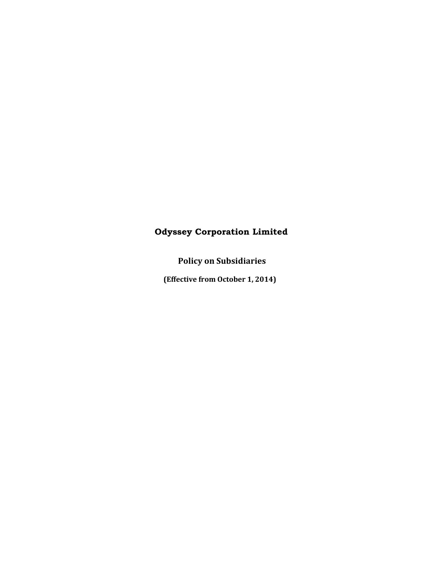# **Odyssey Corporation Limited**

**Policy on Subsidiaries**

**(Effective from October 1, 2014)**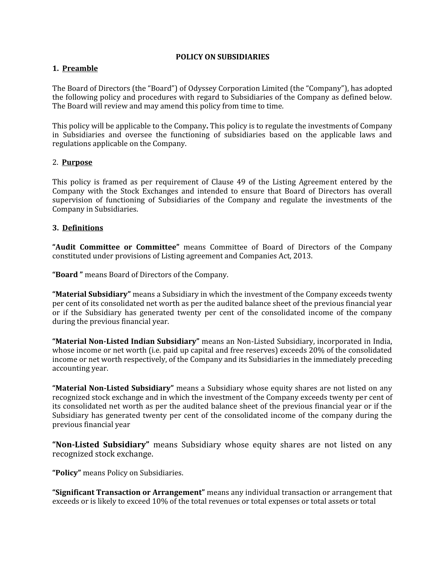#### **POLICY ON SUBSIDIARIES**

### **1. Preamble**

The Board of Directors (the "Board") of Odyssey Corporation Limited (the "Company"), has adopted the following policy and procedures with regard to Subsidiaries of the Company as defined below. The Board will review and may amend this policy from time to time.

This policy will be applicable to the Company**.** This policy is to regulate the investments of Company in Subsidiaries and oversee the functioning of subsidiaries based on the applicable laws and regulations applicable on the Company.

### 2. **Purpose**

This policy is framed as per requirement of Clause 49 of the Listing Agreement entered by the Company with the Stock Exchanges and intended to ensure that Board of Directors has overall supervision of functioning of Subsidiaries of the Company and regulate the investments of the Company in Subsidiaries.

### **3. Definitions**

**"Audit Committee or Committee"** means Committee of Board of Directors of the Company constituted under provisions of Listing agreement and Companies Act, 2013.

**"Board "** means Board of Directors of the Company.

**"Material Subsidiary"** means a Subsidiary in which the investment of the Company exceeds twenty per cent of its consolidated net worth as per the audited balance sheet of the previous financial year or if the Subsidiary has generated twenty per cent of the consolidated income of the company during the previous financial year.

**"Material Non-Listed Indian Subsidiary"** means an Non-Listed Subsidiary, incorporated in India, whose income or net worth (i.e. paid up capital and free reserves) exceeds 20% of the consolidated income or net worth respectively, of the Company and its Subsidiaries in the immediately preceding accounting year.

**"Material Non-Listed Subsidiary"** means a Subsidiary whose equity shares are not listed on any recognized stock exchange and in which the investment of the Company exceeds twenty per cent of its consolidated net worth as per the audited balance sheet of the previous financial year or if the Subsidiary has generated twenty per cent of the consolidated income of the company during the previous financial year

**"Non-Listed Subsidiary"** means Subsidiary whose equity shares are not listed on any recognized stock exchange.

**"Policy"** means Policy on Subsidiaries.

**"Significant Transaction or Arrangement"** means any individual transaction or arrangement that exceeds or is likely to exceed 10% of the total revenues or total expenses or total assets or total